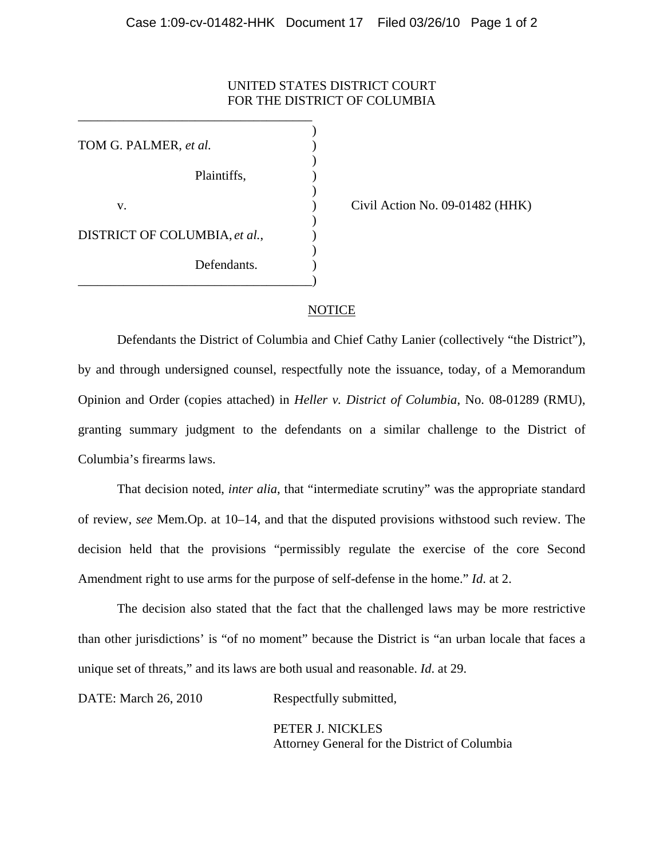## UNITED STATES DISTRICT COURT FOR THE DISTRICT OF COLUMBIA

 $)$ TOM G. PALMER, *et al.* )  $\overline{\phantom{a}}$ Plaintiffs, )  $\overline{\phantom{a}}$ v. (a) Civil Action No. 09-01482 (HHK)  $\overline{\phantom{a}}$ DISTRICT OF COLUMBIA, *et al.*,  $\qquad)$  $\overline{\phantom{a}}$ Defendants.

\_\_\_\_\_\_\_\_\_\_\_\_\_\_\_\_\_\_\_\_\_\_\_\_\_\_\_\_\_\_\_\_\_\_\_\_)

\_\_\_\_\_\_\_\_\_\_\_\_\_\_\_\_\_\_\_\_\_\_\_\_\_\_\_\_\_\_\_\_\_\_\_\_

## NOTICE

Defendants the District of Columbia and Chief Cathy Lanier (collectively "the District"), by and through undersigned counsel, respectfully note the issuance, today, of a Memorandum Opinion and Order (copies attached) in *Heller v. District of Columbia*, No. 08-01289 (RMU), granting summary judgment to the defendants on a similar challenge to the District of Columbia's firearms laws.

That decision noted, *inter alia*, that "intermediate scrutiny" was the appropriate standard of review, *see* Mem.Op. at 10–14, and that the disputed provisions withstood such review. The decision held that the provisions "permissibly regulate the exercise of the core Second Amendment right to use arms for the purpose of self-defense in the home." *Id*. at 2.

The decision also stated that the fact that the challenged laws may be more restrictive than other jurisdictions' is "of no moment" because the District is "an urban locale that faces a unique set of threats," and its laws are both usual and reasonable. *Id*. at 29.

DATE: March 26, 2010 Respectfully submitted,

 PETER J. NICKLES Attorney General for the District of Columbia